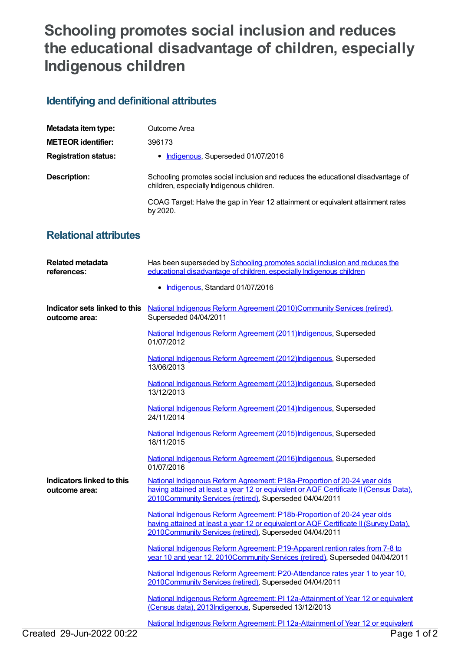## **Schooling promotes social inclusion and reduces the educational disadvantage of children, especially Indigenous children**

## **Identifying and definitional attributes**

| Metadata item type:         | Outcome Area                                                                                                                 |
|-----------------------------|------------------------------------------------------------------------------------------------------------------------------|
| <b>METEOR identifier:</b>   | 396173                                                                                                                       |
| <b>Registration status:</b> | Indigenous, Superseded 01/07/2016                                                                                            |
| Description:                | Schooling promotes social inclusion and reduces the educational disadvantage of<br>children, especially Indigenous children. |
|                             | COAG Target: Halve the gap in Year 12 attainment or equivalent attainment rates<br>by 2020.                                  |

## **Relational attributes**

| <b>Related metadata</b><br>references:         | Has been superseded by Schooling promotes social inclusion and reduces the<br>educational disadvantage of children, especially Indigenous children                                                                           |
|------------------------------------------------|------------------------------------------------------------------------------------------------------------------------------------------------------------------------------------------------------------------------------|
|                                                | • Indigenous, Standard 01/07/2016                                                                                                                                                                                            |
| Indicator sets linked to this<br>outcome area: | National Indigenous Reform Agreement (2010)Community Services (retired),<br>Superseded 04/04/2011                                                                                                                            |
|                                                | National Indigenous Reform Agreement (2011) Indigenous, Superseded<br>01/07/2012                                                                                                                                             |
|                                                | National Indigenous Reform Agreement (2012) Indigenous, Superseded<br>13/06/2013                                                                                                                                             |
|                                                | National Indigenous Reform Agreement (2013) Indigenous, Superseded<br>13/12/2013                                                                                                                                             |
|                                                | National Indigenous Reform Agreement (2014) Indigenous, Superseded<br>24/11/2014                                                                                                                                             |
|                                                | National Indigenous Reform Agreement (2015) Indigenous, Superseded<br>18/11/2015                                                                                                                                             |
|                                                | National Indigenous Reform Agreement (2016) Indigenous, Superseded<br>01/07/2016                                                                                                                                             |
| Indicators linked to this<br>outcome area:     | National Indigenous Reform Agreement: P18a-Proportion of 20-24 year olds<br>having attained at least a year 12 or equivalent or AQF Certificate II (Census Data).<br>2010Community Services (retired), Superseded 04/04/2011 |
|                                                | National Indigenous Reform Agreement: P18b-Proportion of 20-24 year olds<br>having attained at least a year 12 or equivalent or AQF Certificate II (Survey Data),<br>2010Community Services (retired), Superseded 04/04/2011 |
|                                                | National Indigenous Reform Agreement: P19-Apparent rention rates from 7-8 to<br>year 10 and year 12, 2010Community Services (retired), Superseded 04/04/2011                                                                 |
|                                                | National Indigenous Reform Agreement: P20-Attendance rates year 1 to year 10,<br>2010Community Services (retired), Superseded 04/04/2011                                                                                     |
|                                                | National Indigenous Reform Agreement: PI 12a-Attainment of Year 12 or equivalent<br>(Census data), 2013Indigenous, Superseded 13/12/2013                                                                                     |
|                                                | National Indigenous Reform Agreement: PL12a-Attainment of Year 12 or equivalent                                                                                                                                              |